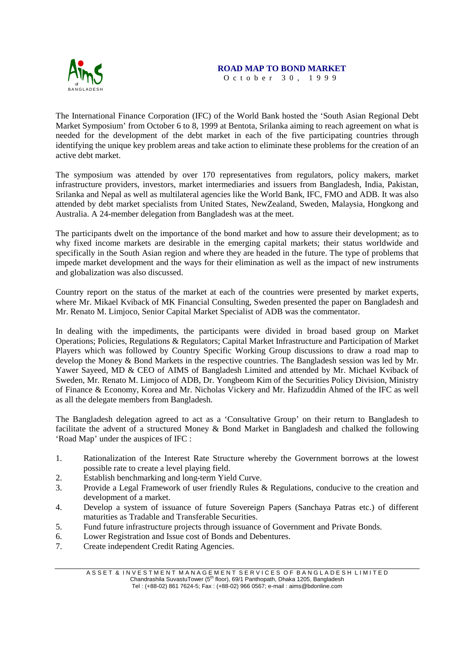

## **ROAD MAP TO BOND MARKET**

October 30, 1999

The International Finance Corporation (IFC) of the World Bank hosted the 'South Asian Regional Debt Market Symposium' from October 6 to 8, 1999 at Bentota, Srilanka aiming to reach agreement on what is needed for the development of the debt market in each of the five participating countries through identifying the unique key problem areas and take action to eliminate these problems for the creation of an active debt market.

The symposium was attended by over 170 representatives from regulators, policy makers, market infrastructure providers, investors, market intermediaries and issuers from Bangladesh, India, Pakistan, Srilanka and Nepal as well as multilateral agencies like the World Bank, IFC, FMO and ADB. It was also attended by debt market specialists from United States, NewZealand, Sweden, Malaysia, Hongkong and Australia. A 24-member delegation from Bangladesh was at the meet.

The participants dwelt on the importance of the bond market and how to assure their development; as to why fixed income markets are desirable in the emerging capital markets; their status worldwide and specifically in the South Asian region and where they are headed in the future. The type of problems that impede market development and the ways for their elimination as well as the impact of new instruments and globalization was also discussed.

Country report on the status of the market at each of the countries were presented by market experts, where Mr. Mikael Kviback of MK Financial Consulting, Sweden presented the paper on Bangladesh and Mr. Renato M. Limjoco, Senior Capital Market Specialist of ADB was the commentator.

In dealing with the impediments, the participants were divided in broad based group on Market Operations; Policies, Regulations & Regulators; Capital Market Infrastructure and Participation of Market Players which was followed by Country Specific Working Group discussions to draw a road map to develop the Money & Bond Markets in the respective countries. The Bangladesh session was led by Mr. Yawer Sayeed, MD & CEO of AIMS of Bangladesh Limited and attended by Mr. Michael Kviback of Sweden, Mr. Renato M. Limjoco of ADB, Dr. Yongbeom Kim of the Securities Policy Division, Ministry of Finance & Economy, Korea and Mr. Nicholas Vickery and Mr. Hafizuddin Ahmed of the IFC as well as all the delegate members from Bangladesh.

The Bangladesh delegation agreed to act as a 'Consultative Group' on their return to Bangladesh to facilitate the advent of a structured Money & Bond Market in Bangladesh and chalked the following 'Road Map' under the auspices of IFC :

- 1. Rationalization of the Interest Rate Structure whereby the Government borrows at the lowest possible rate to create a level playing field.
- 2. Establish benchmarking and long-term Yield Curve.
- 3. Provide a Legal Framework of user friendly Rules & Regulations, conducive to the creation and development of a market.
- 4. Develop a system of issuance of future Sovereign Papers (Sanchaya Patras etc.) of different maturities as Tradable and Transferable Securities.
- 5. Fund future infrastructure projects through issuance of Government and Private Bonds.
- 6. Lower Registration and Issue cost of Bonds and Debentures.
- 7. Create independent Credit Rating Agencies.

A S S E T & IN VESTMENT MANAGEMENT SERVICES OF BANGLADE SH LIMITED Chandrashila SuvastuTower (5<sup>th</sup> floor), 69/1 Panthopath, Dhaka 1205, Bangladesh Tel : (+88-02) 861 7624-5; Fax : (+88-02) 966 0567; e-mail : aims@bdonline.com